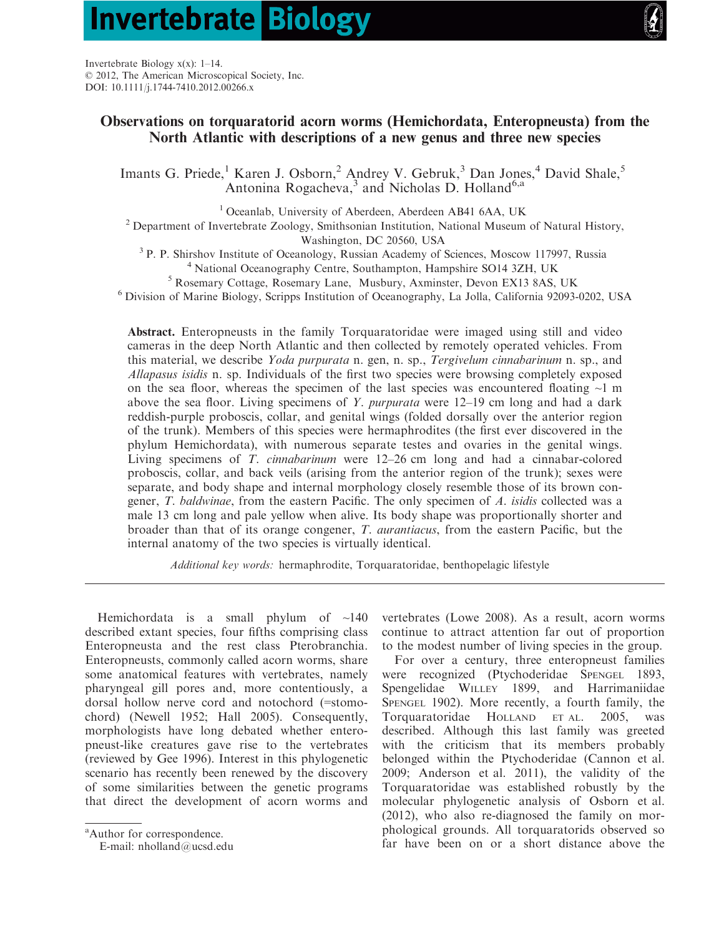# **Invertebrate Biology**



# Observations on torquaratorid acorn worms (Hemichordata, Enteropneusta) from the North Atlantic with descriptions of a new genus and three new species

Imants G. Priede,<sup>1</sup> Karen J. Osborn,<sup>2</sup> Andrey V. Gebruk,<sup>3</sup> Dan Jones,<sup>4</sup> David Shale,<sup>5</sup> Antonina Rogacheva, $3$  and Nicholas D. Holland<sup>6,a</sup>

<sup>1</sup> Oceanlab, University of Aberdeen, Aberdeen AB41 6AA, UK

<sup>2</sup> Department of Invertebrate Zoology, Smithsonian Institution, National Museum of Natural History, Washington, DC 20560, USA

<sup>3</sup> P. P. Shirshov Institute of Oceanology, Russian Academy of Sciences, Moscow 117997, Russia <sup>4</sup> National Oceanography Centre, Southampton, Hampshire SO14 3ZH, UK

<sup>5</sup> Rosemary Cottage, Rosemary Lane, Musbury, Axminster, Devon EX13 8AS, UK

<sup>6</sup> Division of Marine Biology, Scripps Institution of Oceanography, La Jolla, California 92093-0202, USA

Abstract. Enteropneusts in the family Torquaratoridae were imaged using still and video cameras in the deep North Atlantic and then collected by remotely operated vehicles. From this material, we describe Yoda purpurata n. gen, n. sp., Tergivelum cinnabarinum n. sp., and Allapasus isidis n. sp. Individuals of the first two species were browsing completely exposed on the sea floor, whereas the specimen of the last species was encountered floating  $\sim$ 1 m above the sea floor. Living specimens of Y. *purpurata* were  $12-19$  cm long and had a dark reddish-purple proboscis, collar, and genital wings (folded dorsally over the anterior region of the trunk). Members of this species were hermaphrodites (the first ever discovered in the phylum Hemichordata), with numerous separate testes and ovaries in the genital wings. Living specimens of T. *cinnabarinum* were 12–26 cm long and had a cinnabar-colored proboscis, collar, and back veils (arising from the anterior region of the trunk); sexes were separate, and body shape and internal morphology closely resemble those of its brown congener, T. baldwinae, from the eastern Pacific. The only specimen of A. isidis collected was a male 13 cm long and pale yellow when alive. Its body shape was proportionally shorter and broader than that of its orange congener, T. aurantiacus, from the eastern Pacific, but the internal anatomy of the two species is virtually identical.

Additional key words: hermaphrodite, Torquaratoridae, benthopelagic lifestyle

Hemichordata is a small phylum of ~140 described extant species, four fifths comprising class Enteropneusta and the rest class Pterobranchia. Enteropneusts, commonly called acorn worms, share some anatomical features with vertebrates, namely pharyngeal gill pores and, more contentiously, a dorsal hollow nerve cord and notochord (=stomochord) (Newell 1952; Hall 2005). Consequently, morphologists have long debated whether enteropneust-like creatures gave rise to the vertebrates (reviewed by Gee 1996). Interest in this phylogenetic scenario has recently been renewed by the discovery of some similarities between the genetic programs that direct the development of acorn worms and

vertebrates (Lowe 2008). As a result, acorn worms continue to attract attention far out of proportion to the modest number of living species in the group.

For over a century, three enteropneust families were recognized (Ptychoderidae SPENGEL 1893, Spengelidae WILLEY 1899, and Harrimaniidae SPENGEL 1902). More recently, a fourth family, the Torquaratoridae HOLLAND ET AL. 2005, was described. Although this last family was greeted with the criticism that its members probably belonged within the Ptychoderidae (Cannon et al. 2009; Anderson et al. 2011), the validity of the Torquaratoridae was established robustly by the molecular phylogenetic analysis of Osborn et al. (2012), who also re-diagnosed the family on morphological grounds. All torquaratorids observed so far have been on or a short distance above the

<sup>&</sup>lt;sup>a</sup>Author for correspondence.

E-mail: nholland@ucsd.edu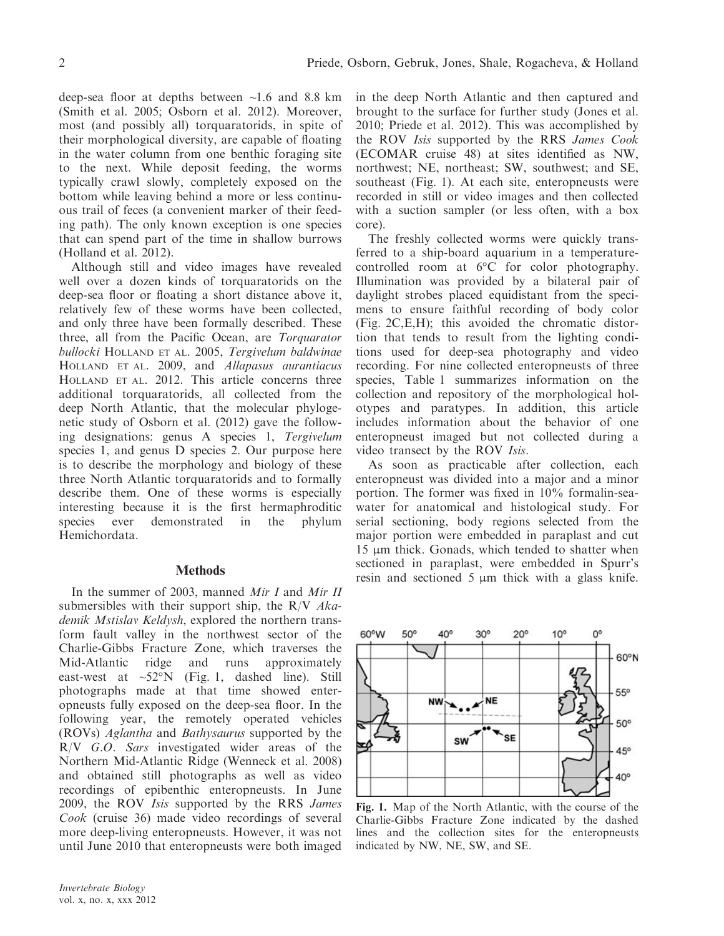deep-sea floor at depths between ~1.6 and 8.8 km (Smith et al. 2005; Osborn et al. 2012). Moreover, most (and possibly all) torquaratorids, in spite of their morphological diversity, are capable of floating in the water column from one benthic foraging site to the next. While deposit feeding, the worms typically crawl slowly, completely exposed on the bottom while leaving behind a more or less continuous trail of feces (a convenient marker of their feeding path). The only known exception is one species that can spend part of the time in shallow burrows (Holland et al. 2012).

Although still and video images have revealed well over a dozen kinds of torquaratorids on the deep-sea floor or floating a short distance above it, relatively few of these worms have been collected, and only three have been formally described. These three, all from the Pacific Ocean, are Torquarator bullocki HOLLAND ET AL. 2005, Tergivelum baldwinae HOLLAND ET AL. 2009, and Allapasus aurantiacus HOLLAND ET AL. 2012. This article concerns three additional torquaratorids, all collected from the deep North Atlantic, that the molecular phylogenetic study of Osborn et al. (2012) gave the following designations: genus A species 1, Tergivelum species 1, and genus D species 2. Our purpose here is to describe the morphology and biology of these three North Atlantic torquaratorids and to formally describe them. One of these worms is especially interesting because it is the first hermaphroditic species ever demonstrated in the phylum Hemichordata.

#### Methods

In the summer of 2003, manned Mir I and Mir II submersibles with their support ship, the R/V Akademik Mstislav Keldysh, explored the northern transform fault valley in the northwest sector of the Charlie-Gibbs Fracture Zone, which traverses the Mid-Atlantic ridge and runs approximately east-west at  $\sim$ 52°N (Fig. 1, dashed line). Still photographs made at that time showed enteropneusts fully exposed on the deep-sea floor. In the following year, the remotely operated vehicles (ROVs) Aglantha and Bathysaurus supported by the R/V G.O. Sars investigated wider areas of the Northern Mid-Atlantic Ridge (Wenneck et al. 2008) and obtained still photographs as well as video recordings of epibenthic enteropneusts. In June 2009, the ROV Isis supported by the RRS James Cook (cruise 36) made video recordings of several more deep-living enteropneusts. However, it was not until June 2010 that enteropneusts were both imaged in the deep North Atlantic and then captured and brought to the surface for further study (Jones et al. 2010; Priede et al. 2012). This was accomplished by the ROV Isis supported by the RRS James Cook (ECOMAR cruise 48) at sites identified as NW, northwest; NE, northeast; SW, southwest; and SE, southeast (Fig. 1). At each site, enteropneusts were recorded in still or video images and then collected with a suction sampler (or less often, with a box core).

The freshly collected worms were quickly transferred to a ship-board aquarium in a temperaturecontrolled room at 6°C for color photography. Illumination was provided by a bilateral pair of daylight strobes placed equidistant from the specimens to ensure faithful recording of body color (Fig. 2C,E,H); this avoided the chromatic distortion that tends to result from the lighting conditions used for deep-sea photography and video recording. For nine collected enteropneusts of three species, Table 1 summarizes information on the collection and repository of the morphological holotypes and paratypes. In addition, this article includes information about the behavior of one enteropneust imaged but not collected during a video transect by the ROV Isis.

As soon as practicable after collection, each enteropneust was divided into a major and a minor portion. The former was fixed in 10% formalin-seawater for anatomical and histological study. For serial sectioning, body regions selected from the major portion were embedded in paraplast and cut 15 μm thick. Gonads, which tended to shatter when sectioned in paraplast, were embedded in Spurr's resin and sectioned  $5 \mu m$  thick with a glass knife.



Fig. 1. Map of the North Atlantic, with the course of the Charlie-Gibbs Fracture Zone indicated by the dashed lines and the collection sites for the enteropneusts indicated by NW, NE, SW, and SE.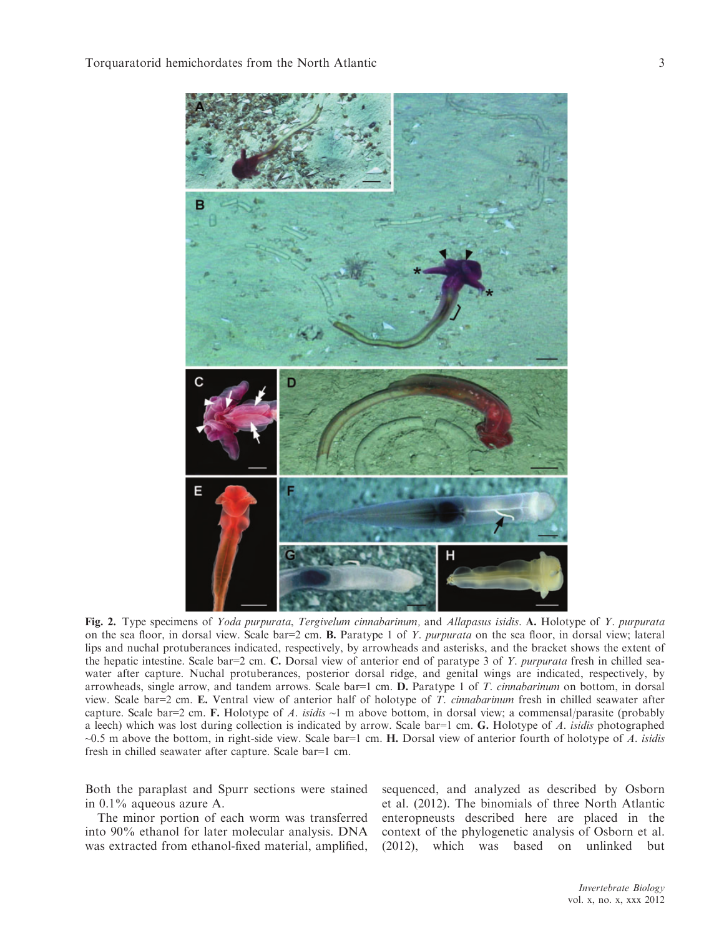

Fig. 2. Type specimens of *Yoda purpurata, Tergivelum cinnabarinum*, and Allapasus isidis. A. Holotype of *Y. purpurata* on the sea floor, in dorsal view. Scale bar=2 cm. B. Paratype 1 of Y. purpurata on the sea floor, in dorsal view; lateral lips and nuchal protuberances indicated, respectively, by arrowheads and asterisks, and the bracket shows the extent of the hepatic intestine. Scale bar=2 cm. C. Dorsal view of anterior end of paratype 3 of Y. *purpurata* fresh in chilled seawater after capture. Nuchal protuberances, posterior dorsal ridge, and genital wings are indicated, respectively, by arrowheads, single arrow, and tandem arrows. Scale bar=1 cm. D. Paratype 1 of T. *cinnabarinum* on bottom, in dorsal view. Scale bar=2 cm. E. Ventral view of anterior half of holotype of T. cinnabarinum fresh in chilled seawater after capture. Scale bar=2 cm. F. Holotype of A. isidis  $\sim$ 1 m above bottom, in dorsal view; a commensal/parasite (probably a leech) which was lost during collection is indicated by arrow. Scale bar=1 cm. G. Holotype of A. isidis photographed  $\sim$ 0.5 m above the bottom, in right-side view. Scale bar=1 cm. H. Dorsal view of anterior fourth of holotype of A. isidis fresh in chilled seawater after capture. Scale bar=1 cm.

Both the paraplast and Spurr sections were stained in 0.1% aqueous azure A.

The minor portion of each worm was transferred into 90% ethanol for later molecular analysis. DNA was extracted from ethanol-fixed material, amplified,

sequenced, and analyzed as described by Osborn et al. (2012). The binomials of three North Atlantic enteropneusts described here are placed in the context of the phylogenetic analysis of Osborn et al. (2012), which was based on unlinked but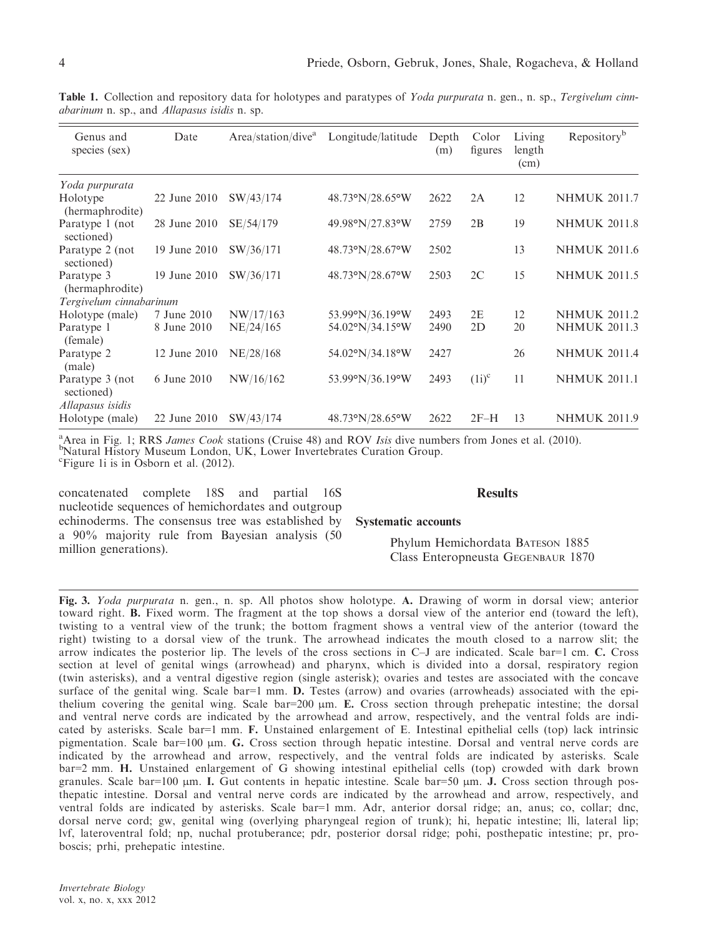| Genus and<br>species (sex)    | Date         | Area/station/dive <sup>a</sup> | Longitude/latitude | Depth<br>(m) | Color<br>figures | Living<br>length | Repository <sup>b</sup> |
|-------------------------------|--------------|--------------------------------|--------------------|--------------|------------------|------------------|-------------------------|
|                               |              |                                |                    |              |                  | (cm)             |                         |
| Yoda purpurata                |              |                                |                    |              |                  |                  |                         |
| Holotype<br>(hermaphrodite)   | 22 June 2010 | SW/43/174                      | 48.73°N/28.65°W    | 2622         | 2A               | 12               | <b>NHMUK 2011.7</b>     |
| Paratype 1 (not<br>sectioned) | 28 June 2010 | SE/54/179                      | 49.98°N/27.83°W    | 2759         | 2B               | 19               | <b>NHMUK 2011.8</b>     |
| Paratype 2 (not<br>sectioned) | 19 June 2010 | SW/36/171                      | 48.73°N/28.67°W    | 2502         |                  | 13               | <b>NHMUK 2011.6</b>     |
| Paratype 3<br>(hermaphrodite) | 19 June 2010 | SW/36/171                      | 48.73°N/28.67°W    | 2503         | 2C               | 15               | <b>NHMUK 2011.5</b>     |
| Tergivelum cinnabarinum       |              |                                |                    |              |                  |                  |                         |
| Holotype (male)               | 7 June 2010  | NW/17/163                      | 53.99°N/36.19°W    | 2493         | 2E               | 12               | <b>NHMUK 2011.2</b>     |
| Paratype 1<br>(female)        | 8 June 2010  | NE/24/165                      | 54.02°N/34.15°W    | 2490         | 2D               | 20               | <b>NHMUK 2011.3</b>     |
| Paratype 2<br>(male)          | 12 June 2010 | NE/28/168                      | 54.02°N/34.18°W    | 2427         |                  | 26               | <b>NHMUK 2011.4</b>     |
| Paratype 3 (not<br>sectioned) | 6 June 2010  | NW/16/162                      | 53.99°N/36.19°W    | 2493         | $(1i)^c$         | 11               | <b>NHMUK 2011.1</b>     |
| Allapasus isidis              |              |                                |                    |              |                  |                  |                         |
| Holotype (male)               | 22 June 2010 | SW/43/174                      | 48.73°N/28.65°W    | 2622         | $2F-H$           | 13               | <b>NHMUK 2011.9</b>     |

Table 1. Collection and repository data for holotypes and paratypes of Yoda purpurata n. gen., n. sp., Tergivelum cinnabarinum n. sp., and Allapasus isidis n. sp.

<sup>a</sup>Area in Fig. 1; RRS *James Cook* stations (Cruise 48) and ROV *Isis* dive numbers from Jones et al. (2010).

Natural History Museum London, UK, Lower Invertebrates Curation Group.

<sup>c</sup>Figure 1i is in Osborn et al. (2012).

concatenated complete 18S and partial 16S nucleotide sequences of hemichordates and outgroup echinoderms. The consensus tree was established by a 90% majority rule from Bayesian analysis (50 million generations).

#### **Results**

Systematic accounts Phylum Hemichordata BATESON 1885

Class Enteropneusta GEGENBAUR 1870

Fig. 3. Yoda purpurata n. gen., n. sp. All photos show holotype. A. Drawing of worm in dorsal view; anterior toward right. B. Fixed worm. The fragment at the top shows a dorsal view of the anterior end (toward the left), twisting to a ventral view of the trunk; the bottom fragment shows a ventral view of the anterior (toward the right) twisting to a dorsal view of the trunk. The arrowhead indicates the mouth closed to a narrow slit; the arrow indicates the posterior lip. The levels of the cross sections in C–J are indicated. Scale bar=1 cm. C. Cross section at level of genital wings (arrowhead) and pharynx, which is divided into a dorsal, respiratory region (twin asterisks), and a ventral digestive region (single asterisk); ovaries and testes are associated with the concave surface of the genital wing. Scale bar=1 mm.  $D$ . Testes (arrow) and ovaries (arrowheads) associated with the epithelium covering the genital wing. Scale bar=200 μm. E. Cross section through prehepatic intestine; the dorsal and ventral nerve cords are indicated by the arrowhead and arrow, respectively, and the ventral folds are indicated by asterisks. Scale bar=1 mm. F. Unstained enlargement of E. Intestinal epithelial cells (top) lack intrinsic pigmentation. Scale bar=100 μm. G. Cross section through hepatic intestine. Dorsal and ventral nerve cords are indicated by the arrowhead and arrow, respectively, and the ventral folds are indicated by asterisks. Scale bar=2 mm. H. Unstained enlargement of G showing intestinal epithelial cells (top) crowded with dark brown granules. Scale bar=100  $\mu$ m. I. Gut contents in hepatic intestine. Scale bar=50  $\mu$ m. J. Cross section through posthepatic intestine. Dorsal and ventral nerve cords are indicated by the arrowhead and arrow, respectively, and ventral folds are indicated by asterisks. Scale bar=1 mm. Adr, anterior dorsal ridge; an, anus; co, collar; dnc, dorsal nerve cord; gw, genital wing (overlying pharyngeal region of trunk); hi, hepatic intestine; lli, lateral lip; lvf, lateroventral fold; np, nuchal protuberance; pdr, posterior dorsal ridge; pohi, posthepatic intestine; pr, proboscis; prhi, prehepatic intestine.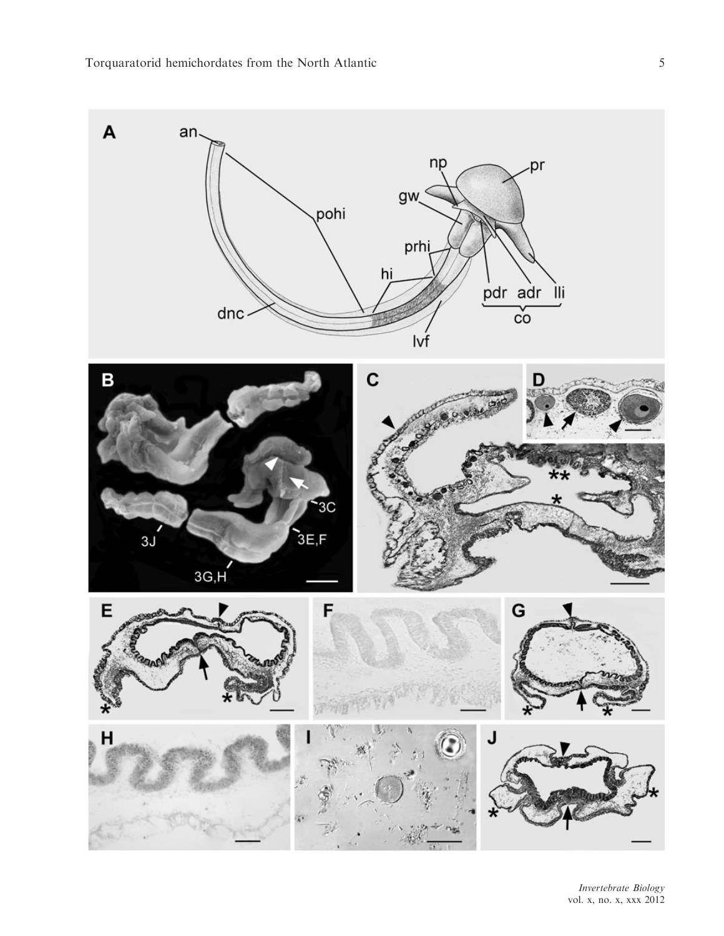

Invertebrate Biology vol. x, no. x, xxx 2012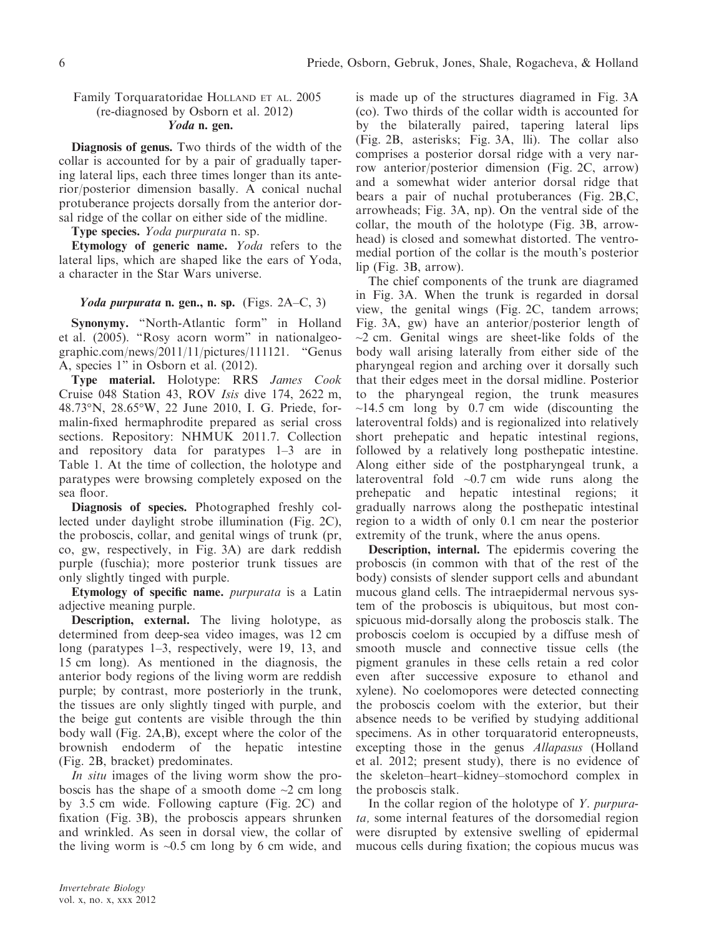### Family Torquaratoridae HOLLAND ET AL. 2005 (re-diagnosed by Osborn et al. 2012) Yoda n. gen.

Diagnosis of genus. Two thirds of the width of the collar is accounted for by a pair of gradually tapering lateral lips, each three times longer than its anterior/posterior dimension basally. A conical nuchal protuberance projects dorsally from the anterior dorsal ridge of the collar on either side of the midline.

Type species. Yoda purpurata n. sp.

Etymology of generic name. Yoda refers to the lateral lips, which are shaped like the ears of Yoda, a character in the Star Wars universe.

# Yoda purpurata n. gen., n. sp.  $(Figs. 2A-C, 3)$

Synonymy. "North-Atlantic form" in Holland et al. (2005). "Rosy acorn worm" in nationalgeographic.com/news/2011/11/pictures/111121. "Genus A, species 1" in Osborn et al. (2012).

Type material. Holotype: RRS James Cook Cruise 048 Station 43, ROV Isis dive 174, 2622 m, 48.73°N, 28.65°W, 22 June 2010, I. G. Priede, formalin-fixed hermaphrodite prepared as serial cross sections. Repository: NHMUK 2011.7. Collection and repository data for paratypes 1–3 are in Table 1. At the time of collection, the holotype and paratypes were browsing completely exposed on the sea floor.

Diagnosis of species. Photographed freshly collected under daylight strobe illumination (Fig. 2C), the proboscis, collar, and genital wings of trunk (pr, co, gw, respectively, in Fig. 3A) are dark reddish purple (fuschia); more posterior trunk tissues are only slightly tinged with purple.

Etymology of specific name. *purpurata* is a Latin adjective meaning purple.

Description, external. The living holotype, as determined from deep-sea video images, was 12 cm long (paratypes 1–3, respectively, were 19, 13, and 15 cm long). As mentioned in the diagnosis, the anterior body regions of the living worm are reddish purple; by contrast, more posteriorly in the trunk, the tissues are only slightly tinged with purple, and the beige gut contents are visible through the thin body wall (Fig. 2A,B), except where the color of the brownish endoderm of the hepatic intestine (Fig. 2B, bracket) predominates.

In situ images of the living worm show the proboscis has the shape of a smooth dome  $\sim$ 2 cm long by 3.5 cm wide. Following capture (Fig. 2C) and fixation (Fig. 3B), the proboscis appears shrunken and wrinkled. As seen in dorsal view, the collar of the living worm is  $\sim 0.5$  cm long by 6 cm wide, and

is made up of the structures diagramed in Fig. 3A (co). Two thirds of the collar width is accounted for by the bilaterally paired, tapering lateral lips (Fig. 2B, asterisks; Fig. 3A, lli). The collar also comprises a posterior dorsal ridge with a very narrow anterior/posterior dimension (Fig. 2C, arrow) and a somewhat wider anterior dorsal ridge that bears a pair of nuchal protuberances (Fig. 2B,C, arrowheads; Fig. 3A, np). On the ventral side of the collar, the mouth of the holotype (Fig. 3B, arrowhead) is closed and somewhat distorted. The ventromedial portion of the collar is the mouth's posterior lip (Fig. 3B, arrow).

The chief components of the trunk are diagramed in Fig. 3A. When the trunk is regarded in dorsal view, the genital wings (Fig. 2C, tandem arrows; Fig. 3A, gw) have an anterior/posterior length of  $\sim$ 2 cm. Genital wings are sheet-like folds of the body wall arising laterally from either side of the pharyngeal region and arching over it dorsally such that their edges meet in the dorsal midline. Posterior to the pharyngeal region, the trunk measures  $\sim$ 14.5 cm long by 0.7 cm wide (discounting the lateroventral folds) and is regionalized into relatively short prehepatic and hepatic intestinal regions, followed by a relatively long posthepatic intestine. Along either side of the postpharyngeal trunk, a lateroventral fold  $\sim 0.7$  cm wide runs along the prehepatic and hepatic intestinal regions; it gradually narrows along the posthepatic intestinal region to a width of only 0.1 cm near the posterior extremity of the trunk, where the anus opens.

Description, internal. The epidermis covering the proboscis (in common with that of the rest of the body) consists of slender support cells and abundant mucous gland cells. The intraepidermal nervous system of the proboscis is ubiquitous, but most conspicuous mid-dorsally along the proboscis stalk. The proboscis coelom is occupied by a diffuse mesh of smooth muscle and connective tissue cells (the pigment granules in these cells retain a red color even after successive exposure to ethanol and xylene). No coelomopores were detected connecting the proboscis coelom with the exterior, but their absence needs to be verified by studying additional specimens. As in other torquaratorid enteropneusts, excepting those in the genus Allapasus (Holland et al. 2012; present study), there is no evidence of the skeleton–heart–kidney–stomochord complex in the proboscis stalk.

In the collar region of the holotype of Y. purpurata, some internal features of the dorsomedial region were disrupted by extensive swelling of epidermal mucous cells during fixation; the copious mucus was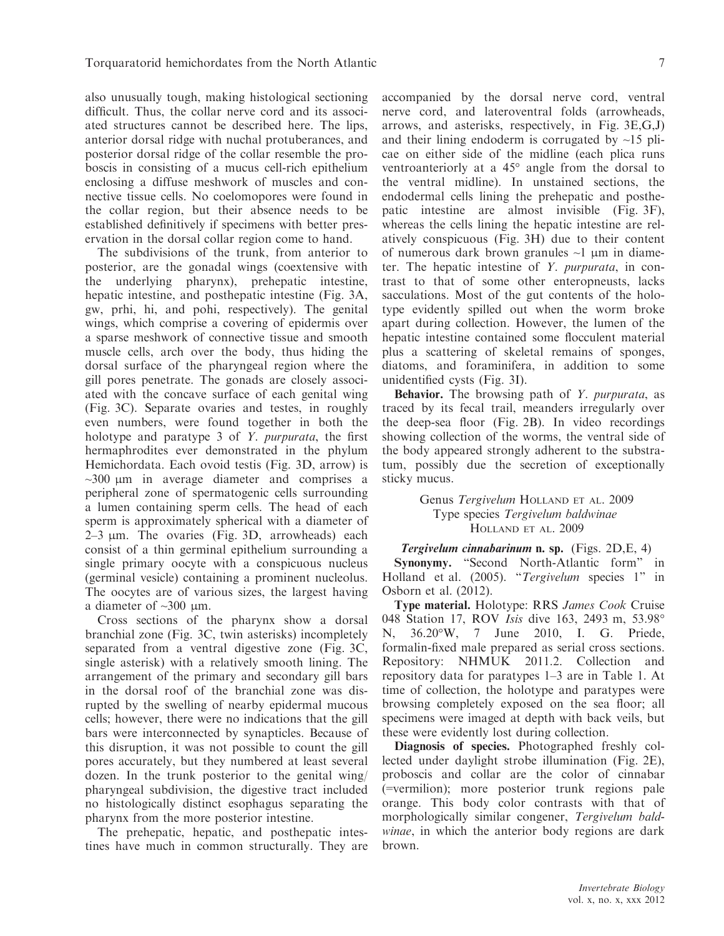also unusually tough, making histological sectioning difficult. Thus, the collar nerve cord and its associated structures cannot be described here. The lips, anterior dorsal ridge with nuchal protuberances, and posterior dorsal ridge of the collar resemble the proboscis in consisting of a mucus cell-rich epithelium enclosing a diffuse meshwork of muscles and connective tissue cells. No coelomopores were found in the collar region, but their absence needs to be established definitively if specimens with better preservation in the dorsal collar region come to hand.

The subdivisions of the trunk, from anterior to posterior, are the gonadal wings (coextensive with the underlying pharynx), prehepatic intestine, hepatic intestine, and posthepatic intestine (Fig. 3A, gw, prhi, hi, and pohi, respectively). The genital wings, which comprise a covering of epidermis over a sparse meshwork of connective tissue and smooth muscle cells, arch over the body, thus hiding the dorsal surface of the pharyngeal region where the gill pores penetrate. The gonads are closely associated with the concave surface of each genital wing (Fig. 3C). Separate ovaries and testes, in roughly even numbers, were found together in both the holotype and paratype 3 of Y. purpurata, the first hermaphrodites ever demonstrated in the phylum Hemichordata. Each ovoid testis (Fig. 3D, arrow) is  $\sim$ 300 μm in average diameter and comprises a peripheral zone of spermatogenic cells surrounding a lumen containing sperm cells. The head of each sperm is approximately spherical with a diameter of 2–3 μm. The ovaries (Fig. 3D, arrowheads) each consist of a thin germinal epithelium surrounding a single primary oocyte with a conspicuous nucleus (germinal vesicle) containing a prominent nucleolus. The oocytes are of various sizes, the largest having a diameter of ~300 μm.

Cross sections of the pharynx show a dorsal branchial zone (Fig. 3C, twin asterisks) incompletely separated from a ventral digestive zone (Fig. 3C, single asterisk) with a relatively smooth lining. The arrangement of the primary and secondary gill bars in the dorsal roof of the branchial zone was disrupted by the swelling of nearby epidermal mucous cells; however, there were no indications that the gill bars were interconnected by synapticles. Because of this disruption, it was not possible to count the gill pores accurately, but they numbered at least several dozen. In the trunk posterior to the genital wing/ pharyngeal subdivision, the digestive tract included no histologically distinct esophagus separating the pharynx from the more posterior intestine.

The prehepatic, hepatic, and posthepatic intestines have much in common structurally. They are accompanied by the dorsal nerve cord, ventral nerve cord, and lateroventral folds (arrowheads, arrows, and asterisks, respectively, in Fig. 3E,G,J) and their lining endoderm is corrugated by  $\sim$ 15 plicae on either side of the midline (each plica runs ventroanteriorly at a 45° angle from the dorsal to the ventral midline). In unstained sections, the endodermal cells lining the prehepatic and posthepatic intestine are almost invisible (Fig. 3F), whereas the cells lining the hepatic intestine are relatively conspicuous (Fig. 3H) due to their content of numerous dark brown granules  $\sim$ 1  $\mu$ m in diameter. The hepatic intestine of Y. purpurata, in contrast to that of some other enteropneusts, lacks sacculations. Most of the gut contents of the holotype evidently spilled out when the worm broke apart during collection. However, the lumen of the hepatic intestine contained some flocculent material plus a scattering of skeletal remains of sponges, diatoms, and foraminifera, in addition to some unidentified cysts (Fig. 3I).

Behavior. The browsing path of Y. *purpurata*, as traced by its fecal trail, meanders irregularly over the deep-sea floor (Fig. 2B). In video recordings showing collection of the worms, the ventral side of the body appeared strongly adherent to the substratum, possibly due the secretion of exceptionally sticky mucus.

> Genus Tergivelum HOLLAND ET AL. 2009 Type species Tergivelum baldwinae HOLLAND ET AL. 2009

Tergivelum cinnabarinum n. sp. (Figs. 2D,E, 4) Synonymy. "Second North-Atlantic form" in Holland et al. (2005). "Tergivelum species 1" in Osborn et al. (2012).

Type material. Holotype: RRS James Cook Cruise 048 Station 17, ROV Isis dive 163, 2493 m, 53.98° N, 36.20°W, 7 June 2010, I. G. Priede, formalin-fixed male prepared as serial cross sections. Repository: NHMUK 2011.2. Collection and repository data for paratypes 1–3 are in Table 1. At time of collection, the holotype and paratypes were browsing completely exposed on the sea floor; all specimens were imaged at depth with back veils, but these were evidently lost during collection.

Diagnosis of species. Photographed freshly collected under daylight strobe illumination (Fig. 2E), proboscis and collar are the color of cinnabar (=vermilion); more posterior trunk regions pale orange. This body color contrasts with that of morphologically similar congener, Tergivelum baldwinae, in which the anterior body regions are dark brown.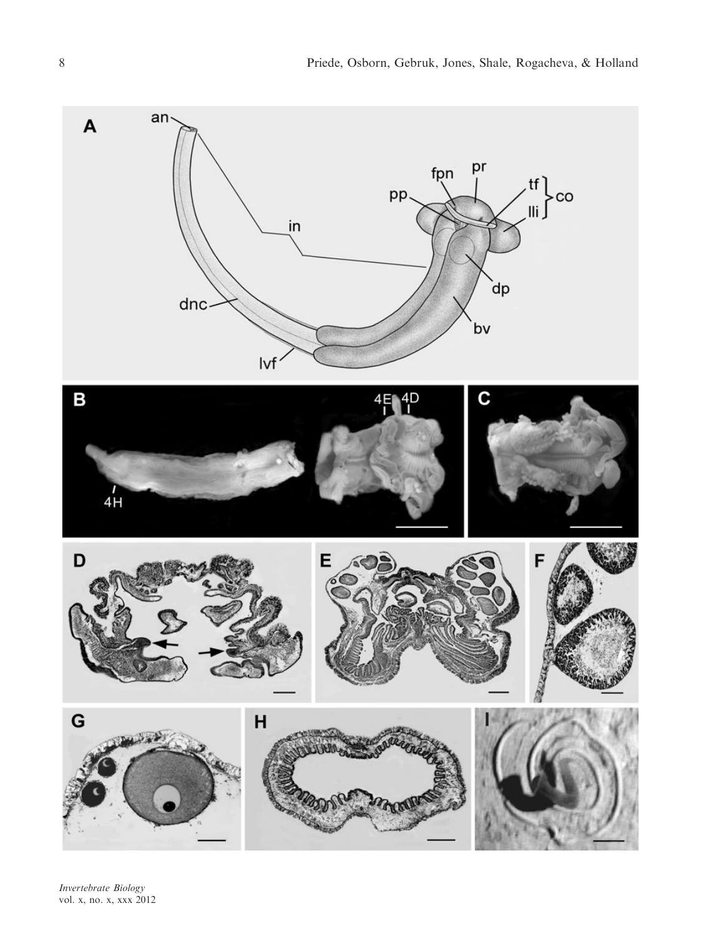

Invertebrate Biology vol. x, no. x, xxx 2012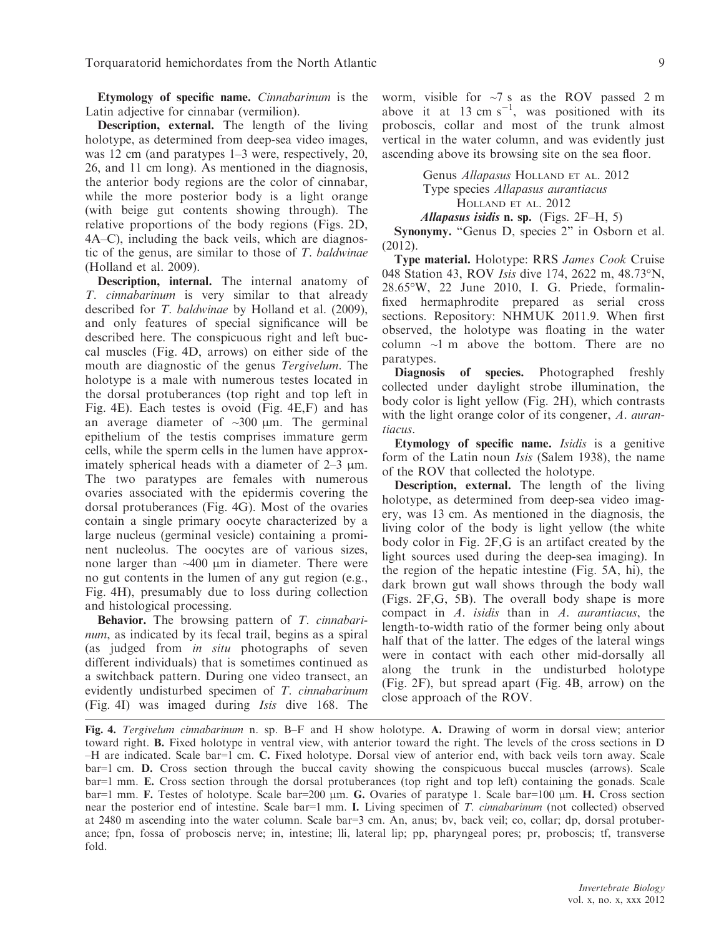Etymology of specific name. Cinnabarinum is the Latin adjective for cinnabar (vermilion).

Description, external. The length of the living holotype, as determined from deep-sea video images, was 12 cm (and paratypes 1–3 were, respectively, 20, 26, and 11 cm long). As mentioned in the diagnosis, the anterior body regions are the color of cinnabar, while the more posterior body is a light orange (with beige gut contents showing through). The relative proportions of the body regions (Figs. 2D, 4A–C), including the back veils, which are diagnostic of the genus, are similar to those of  $T$ . baldwinae (Holland et al. 2009).

Description, internal. The internal anatomy of T. cinnabarinum is very similar to that already described for T. baldwinae by Holland et al. (2009), and only features of special significance will be described here. The conspicuous right and left buccal muscles (Fig. 4D, arrows) on either side of the mouth are diagnostic of the genus Tergivelum. The holotype is a male with numerous testes located in the dorsal protuberances (top right and top left in Fig. 4E). Each testes is ovoid (Fig. 4E,F) and has an average diameter of  $\sim$ 300  $\mu$ m. The germinal epithelium of the testis comprises immature germ cells, while the sperm cells in the lumen have approximately spherical heads with a diameter of  $2-3 \mu m$ . The two paratypes are females with numerous ovaries associated with the epidermis covering the dorsal protuberances (Fig. 4G). Most of the ovaries contain a single primary oocyte characterized by a large nucleus (germinal vesicle) containing a prominent nucleolus. The oocytes are of various sizes, none larger than  $~400~\mu m$  in diameter. There were no gut contents in the lumen of any gut region (e.g., Fig. 4H), presumably due to loss during collection and histological processing.

Behavior. The browsing pattern of T. cinnabarinum, as indicated by its fecal trail, begins as a spiral (as judged from in situ photographs of seven different individuals) that is sometimes continued as a switchback pattern. During one video transect, an evidently undisturbed specimen of T. cinnabarinum (Fig. 4I) was imaged during Isis dive 168. The worm, visible for  $\sim$ 7 s as the ROV passed 2 m above it at 13 cm  $s^{-1}$ , was positioned with its proboscis, collar and most of the trunk almost vertical in the water column, and was evidently just ascending above its browsing site on the sea floor.

> Genus Allapasus HOLLAND ET AL. 2012 Type species Allapasus aurantiacus HOLLAND ET AL. 2012

Allapasus isidis n. sp.  $(Figs. 2F-H, 5)$ 

Synonymy. "Genus D, species 2" in Osborn et al. (2012).

Type material. Holotype: RRS James Cook Cruise 048 Station 43, ROV Isis dive 174, 2622 m, 48.73°N, 28.65°W, 22 June 2010, I. G. Priede, formalinfixed hermaphrodite prepared as serial cross sections. Repository: NHMUK 2011.9. When first observed, the holotype was floating in the water column ~1 m above the bottom. There are no paratypes.

Diagnosis of species. Photographed freshly collected under daylight strobe illumination, the body color is light yellow (Fig. 2H), which contrasts with the light orange color of its congener, A. aurantiacus.

Etymology of specific name. *Isidis* is a genitive form of the Latin noun *Isis* (Salem 1938), the name of the ROV that collected the holotype.

Description, external. The length of the living holotype, as determined from deep-sea video imagery, was 13 cm. As mentioned in the diagnosis, the living color of the body is light yellow (the white body color in Fig. 2F,G is an artifact created by the light sources used during the deep-sea imaging). In the region of the hepatic intestine (Fig. 5A, hi), the dark brown gut wall shows through the body wall (Figs. 2F,G, 5B). The overall body shape is more compact in A. isidis than in A. aurantiacus, the length-to-width ratio of the former being only about half that of the latter. The edges of the lateral wings were in contact with each other mid-dorsally all along the trunk in the undisturbed holotype (Fig. 2F), but spread apart (Fig. 4B, arrow) on the close approach of the ROV.

Fig. 4. Tergivelum cinnabarinum n. sp. B–F and H show holotype. A. Drawing of worm in dorsal view; anterior toward right. B. Fixed holotype in ventral view, with anterior toward the right. The levels of the cross sections in D –H are indicated. Scale bar=1 cm. C. Fixed holotype. Dorsal view of anterior end, with back veils torn away. Scale bar=1 cm. D. Cross section through the buccal cavity showing the conspicuous buccal muscles (arrows). Scale bar=1 mm. E. Cross section through the dorsal protuberances (top right and top left) containing the gonads. Scale bar=1 mm. F. Testes of holotype. Scale bar=200 μm. G. Ovaries of paratype 1. Scale bar=100 μm. H. Cross section near the posterior end of intestine. Scale bar=1 mm. I. Living specimen of T. cinnabarinum (not collected) observed at 2480 m ascending into the water column. Scale bar=3 cm. An, anus; bv, back veil; co, collar; dp, dorsal protuberance; fpn, fossa of proboscis nerve; in, intestine; lli, lateral lip; pp, pharyngeal pores; pr, proboscis; tf, transverse fold.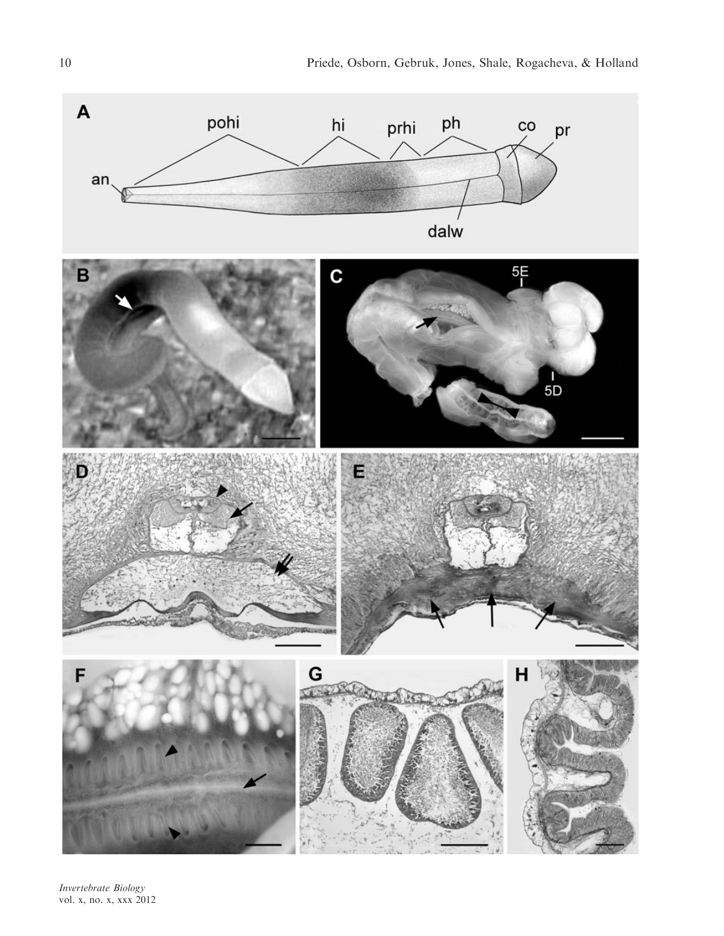

Invertebrate Biology vol. x, no. x, xxx 2012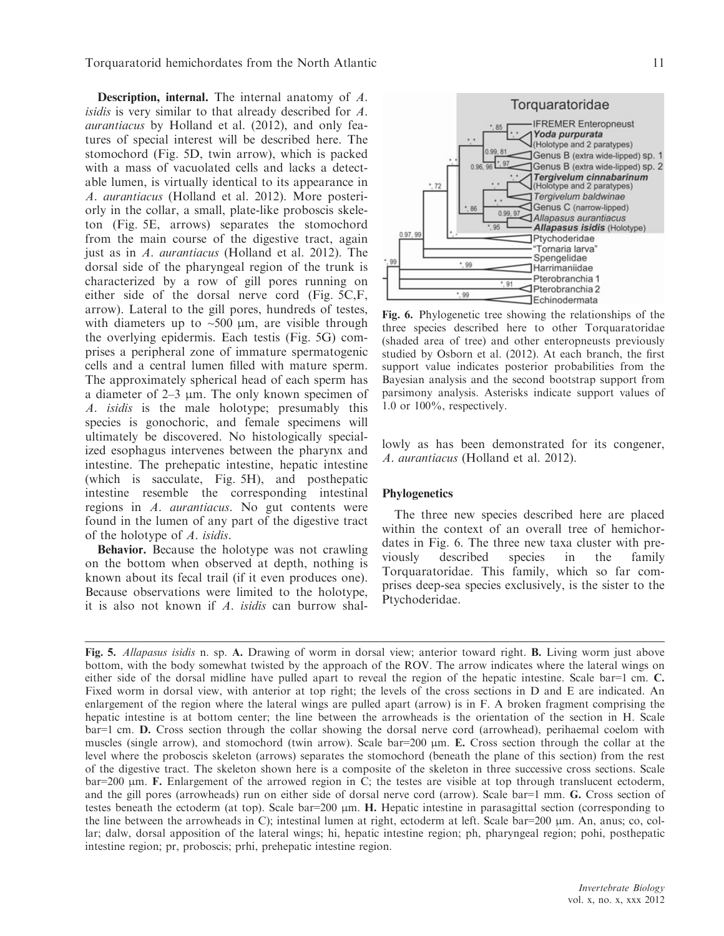Torquaratorid hemichordates from the North Atlantic 11

Description, internal. The internal anatomy of A. isidis is very similar to that already described for A. aurantiacus by Holland et al. (2012), and only features of special interest will be described here. The stomochord (Fig. 5D, twin arrow), which is packed with a mass of vacuolated cells and lacks a detectable lumen, is virtually identical to its appearance in A. aurantiacus (Holland et al. 2012). More posteriorly in the collar, a small, plate-like proboscis skeleton (Fig. 5E, arrows) separates the stomochord from the main course of the digestive tract, again just as in A. aurantiacus (Holland et al. 2012). The dorsal side of the pharyngeal region of the trunk is characterized by a row of gill pores running on either side of the dorsal nerve cord (Fig. 5C,F, arrow). Lateral to the gill pores, hundreds of testes, with diameters up to  $\sim$ 500  $\mu$ m, are visible through the overlying epidermis. Each testis (Fig. 5G) comprises a peripheral zone of immature spermatogenic cells and a central lumen filled with mature sperm. The approximately spherical head of each sperm has a diameter of 2–3 μm. The only known specimen of A. isidis is the male holotype; presumably this species is gonochoric, and female specimens will ultimately be discovered. No histologically specialized esophagus intervenes between the pharynx and intestine. The prehepatic intestine, hepatic intestine (which is sacculate, Fig. 5H), and posthepatic intestine resemble the corresponding intestinal regions in A. aurantiacus. No gut contents were found in the lumen of any part of the digestive tract of the holotype of A. isidis.

Behavior. Because the holotype was not crawling on the bottom when observed at depth, nothing is known about its fecal trail (if it even produces one). Because observations were limited to the holotype, it is also not known if A. isidis can burrow shal-



Fig. 6. Phylogenetic tree showing the relationships of the three species described here to other Torquaratoridae (shaded area of tree) and other enteropneusts previously studied by Osborn et al. (2012). At each branch, the first support value indicates posterior probabilities from the Bayesian analysis and the second bootstrap support from parsimony analysis. Asterisks indicate support values of 1.0 or 100%, respectively.

lowly as has been demonstrated for its congener, A. aurantiacus (Holland et al. 2012).

#### Phylogenetics

The three new species described here are placed within the context of an overall tree of hemichordates in Fig. 6. The three new taxa cluster with previously described species in the family Torquaratoridae. This family, which so far comprises deep-sea species exclusively, is the sister to the Ptychoderidae.

Fig. 5. Allapasus isidis n. sp. A. Drawing of worm in dorsal view; anterior toward right. B. Living worm just above bottom, with the body somewhat twisted by the approach of the ROV. The arrow indicates where the lateral wings on either side of the dorsal midline have pulled apart to reveal the region of the hepatic intestine. Scale bar=1 cm. C. Fixed worm in dorsal view, with anterior at top right; the levels of the cross sections in D and E are indicated. An enlargement of the region where the lateral wings are pulled apart (arrow) is in F. A broken fragment comprising the hepatic intestine is at bottom center; the line between the arrowheads is the orientation of the section in H. Scale bar=1 cm. D. Cross section through the collar showing the dorsal nerve cord (arrowhead), perihaemal coelom with muscles (single arrow), and stomochord (twin arrow). Scale bar=200 μm. E. Cross section through the collar at the level where the proboscis skeleton (arrows) separates the stomochord (beneath the plane of this section) from the rest of the digestive tract. The skeleton shown here is a composite of the skeleton in three successive cross sections. Scale bar=200  $\mu$ m. F. Enlargement of the arrowed region in C; the testes are visible at top through translucent ectoderm, and the gill pores (arrowheads) run on either side of dorsal nerve cord (arrow). Scale bar=1 mm. G. Cross section of testes beneath the ectoderm (at top). Scale bar=200 μm. H. Hepatic intestine in parasagittal section (corresponding to the line between the arrowheads in C); intestinal lumen at right, ectoderm at left. Scale bar=200 μm. An, anus; co, collar; dalw, dorsal apposition of the lateral wings; hi, hepatic intestine region; ph, pharyngeal region; pohi, posthepatic intestine region; pr, proboscis; prhi, prehepatic intestine region.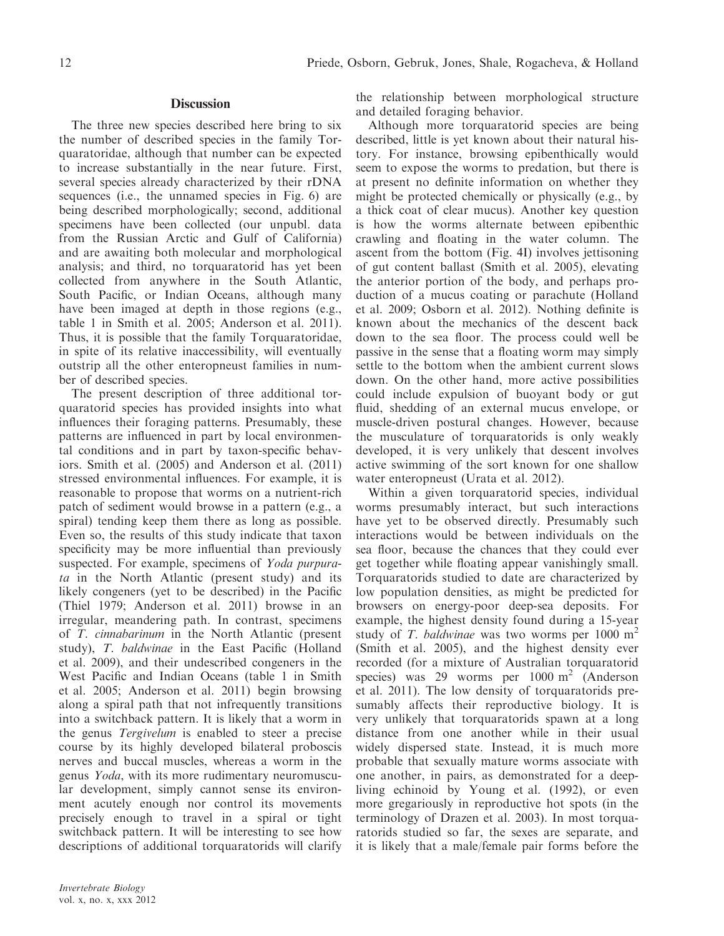## **Discussion**

The three new species described here bring to six the number of described species in the family Torquaratoridae, although that number can be expected to increase substantially in the near future. First, several species already characterized by their rDNA sequences (i.e., the unnamed species in Fig. 6) are being described morphologically; second, additional specimens have been collected (our unpubl. data from the Russian Arctic and Gulf of California) and are awaiting both molecular and morphological analysis; and third, no torquaratorid has yet been collected from anywhere in the South Atlantic, South Pacific, or Indian Oceans, although many have been imaged at depth in those regions (e.g., table 1 in Smith et al. 2005; Anderson et al. 2011). Thus, it is possible that the family Torquaratoridae, in spite of its relative inaccessibility, will eventually outstrip all the other enteropneust families in number of described species.

The present description of three additional torquaratorid species has provided insights into what influences their foraging patterns. Presumably, these patterns are influenced in part by local environmental conditions and in part by taxon-specific behaviors. Smith et al. (2005) and Anderson et al. (2011) stressed environmental influences. For example, it is reasonable to propose that worms on a nutrient-rich patch of sediment would browse in a pattern (e.g., a spiral) tending keep them there as long as possible. Even so, the results of this study indicate that taxon specificity may be more influential than previously suspected. For example, specimens of Yoda purpurata in the North Atlantic (present study) and its likely congeners (yet to be described) in the Pacific (Thiel 1979; Anderson et al. 2011) browse in an irregular, meandering path. In contrast, specimens of T. cinnabarinum in the North Atlantic (present study), T. baldwinae in the East Pacific (Holland et al. 2009), and their undescribed congeners in the West Pacific and Indian Oceans (table 1 in Smith et al. 2005; Anderson et al. 2011) begin browsing along a spiral path that not infrequently transitions into a switchback pattern. It is likely that a worm in the genus Tergivelum is enabled to steer a precise course by its highly developed bilateral proboscis nerves and buccal muscles, whereas a worm in the genus Yoda, with its more rudimentary neuromuscular development, simply cannot sense its environment acutely enough nor control its movements precisely enough to travel in a spiral or tight switchback pattern. It will be interesting to see how descriptions of additional torquaratorids will clarify the relationship between morphological structure and detailed foraging behavior.

Although more torquaratorid species are being described, little is yet known about their natural history. For instance, browsing epibenthically would seem to expose the worms to predation, but there is at present no definite information on whether they might be protected chemically or physically (e.g., by a thick coat of clear mucus). Another key question is how the worms alternate between epibenthic crawling and floating in the water column. The ascent from the bottom (Fig. 4I) involves jettisoning of gut content ballast (Smith et al. 2005), elevating the anterior portion of the body, and perhaps production of a mucus coating or parachute (Holland et al. 2009; Osborn et al. 2012). Nothing definite is known about the mechanics of the descent back down to the sea floor. The process could well be passive in the sense that a floating worm may simply settle to the bottom when the ambient current slows down. On the other hand, more active possibilities could include expulsion of buoyant body or gut fluid, shedding of an external mucus envelope, or muscle-driven postural changes. However, because the musculature of torquaratorids is only weakly developed, it is very unlikely that descent involves active swimming of the sort known for one shallow water enteropneust (Urata et al. 2012).

Within a given torquaratorid species, individual worms presumably interact, but such interactions have yet to be observed directly. Presumably such interactions would be between individuals on the sea floor, because the chances that they could ever get together while floating appear vanishingly small. Torquaratorids studied to date are characterized by low population densities, as might be predicted for browsers on energy-poor deep-sea deposits. For example, the highest density found during a 15-year study of T. baldwinae was two worms per 1000  $m<sup>2</sup>$ (Smith et al. 2005), and the highest density ever recorded (for a mixture of Australian torquaratorid species) was 29 worms per  $1000 \text{ m}^2$  (Anderson et al. 2011). The low density of torquaratorids presumably affects their reproductive biology. It is very unlikely that torquaratorids spawn at a long distance from one another while in their usual widely dispersed state. Instead, it is much more probable that sexually mature worms associate with one another, in pairs, as demonstrated for a deepliving echinoid by Young et al. (1992), or even more gregariously in reproductive hot spots (in the terminology of Drazen et al. 2003). In most torquaratorids studied so far, the sexes are separate, and it is likely that a male/female pair forms before the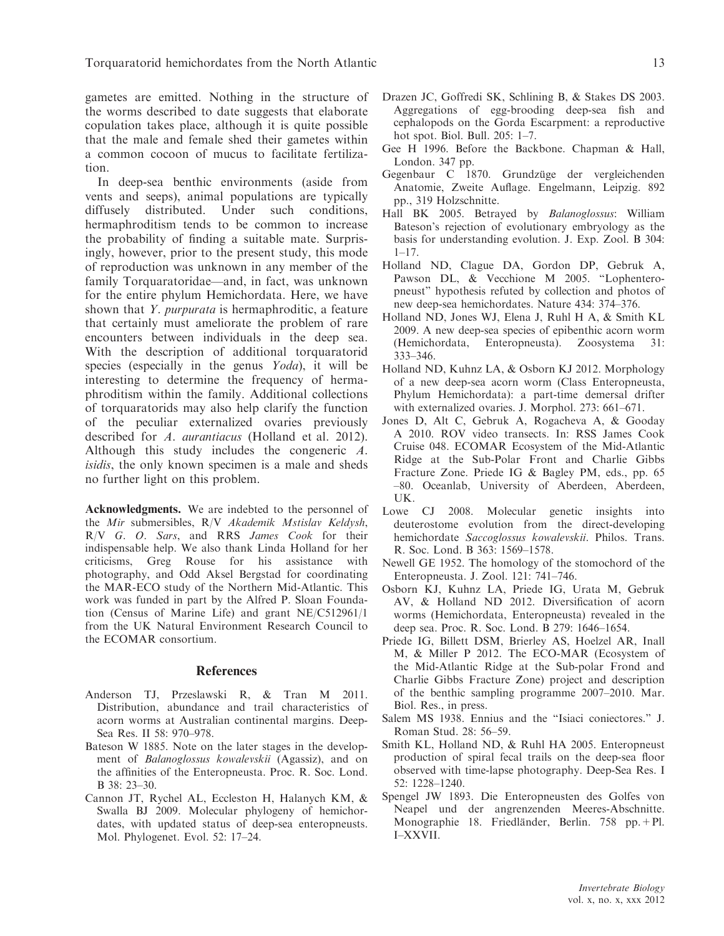gametes are emitted. Nothing in the structure of the worms described to date suggests that elaborate copulation takes place, although it is quite possible that the male and female shed their gametes within a common cocoon of mucus to facilitate fertilization.

In deep-sea benthic environments (aside from vents and seeps), animal populations are typically diffusely distributed. Under such conditions, hermaphroditism tends to be common to increase the probability of finding a suitable mate. Surprisingly, however, prior to the present study, this mode of reproduction was unknown in any member of the family Torquaratoridae—and, in fact, was unknown for the entire phylum Hemichordata. Here, we have shown that *Y. purpurata* is hermaphroditic, a feature that certainly must ameliorate the problem of rare encounters between individuals in the deep sea. With the description of additional torquaratorid species (especially in the genus Yoda), it will be interesting to determine the frequency of hermaphroditism within the family. Additional collections of torquaratorids may also help clarify the function of the peculiar externalized ovaries previously described for A. aurantiacus (Holland et al. 2012). Although this study includes the congeneric A. isidis, the only known specimen is a male and sheds no further light on this problem.

Acknowledgments. We are indebted to the personnel of the Mir submersibles, R/V Akademik Mstislav Keldysh, R/V G. O. Sars, and RRS James Cook for their indispensable help. We also thank Linda Holland for her criticisms, Greg Rouse for his assistance with photography, and Odd Aksel Bergstad for coordinating the MAR-ECO study of the Northern Mid-Atlantic. This work was funded in part by the Alfred P. Sloan Foundation (Census of Marine Life) and grant NE/C512961/1 from the UK Natural Environment Research Council to the ECOMAR consortium.

#### **References**

- Anderson TJ, Przeslawski R, & Tran M 2011. Distribution, abundance and trail characteristics of acorn worms at Australian continental margins. Deep-Sea Res. II 58: 970–978.
- Bateson W 1885. Note on the later stages in the development of Balanoglossus kowalevskii (Agassiz), and on the affinities of the Enteropneusta. Proc. R. Soc. Lond. B 38: 23–30.
- Cannon JT, Rychel AL, Eccleston H, Halanych KM, & Swalla BJ 2009. Molecular phylogeny of hemichordates, with updated status of deep-sea enteropneusts. Mol. Phylogenet. Evol. 52: 17–24.
- Drazen JC, Goffredi SK, Schlining B, & Stakes DS 2003. Aggregations of egg-brooding deep-sea fish and cephalopods on the Gorda Escarpment: a reproductive hot spot. Biol. Bull. 205: 1–7.
- Gee H 1996. Before the Backbone. Chapman & Hall, London. 347 pp.
- Gegenbaur C 1870. Grundzüge der vergleichenden Anatomie, Zweite Auflage. Engelmann, Leipzig. 892 pp., 319 Holzschnitte.
- Hall BK 2005. Betrayed by Balanoglossus: William Bateson's rejection of evolutionary embryology as the basis for understanding evolution. J. Exp. Zool. B 304:  $1 - 17$ .
- Holland ND, Clague DA, Gordon DP, Gebruk A, Pawson DL, & Vecchione M 2005. "Lophenteropneust" hypothesis refuted by collection and photos of new deep-sea hemichordates. Nature 434: 374–376.
- Holland ND, Jones WJ, Elena J, Ruhl H A, & Smith KL 2009. A new deep-sea species of epibenthic acorn worm (Hemichordata, Enteropneusta). Zoosystema 31: 333–346.
- Holland ND, Kuhnz LA, & Osborn KJ 2012. Morphology of a new deep-sea acorn worm (Class Enteropneusta, Phylum Hemichordata): a part-time demersal drifter with externalized ovaries. J. Morphol. 273: 661–671.
- Jones D, Alt C, Gebruk A, Rogacheva A, & Gooday A 2010. ROV video transects. In: RSS James Cook Cruise 048. ECOMAR Ecosystem of the Mid-Atlantic Ridge at the Sub-Polar Front and Charlie Gibbs Fracture Zone. Priede IG & Bagley PM, eds., pp. 65 –80. Oceanlab, University of Aberdeen, Aberdeen, UK.
- Lowe CJ 2008. Molecular genetic insights into deuterostome evolution from the direct-developing hemichordate Saccoglossus kowalevskii. Philos. Trans. R. Soc. Lond. B 363: 1569–1578.
- Newell GE 1952. The homology of the stomochord of the Enteropneusta. J. Zool. 121: 741–746.
- Osborn KJ, Kuhnz LA, Priede IG, Urata M, Gebruk AV, & Holland ND 2012. Diversification of acorn worms (Hemichordata, Enteropneusta) revealed in the deep sea. Proc. R. Soc. Lond. B 279: 1646–1654.
- Priede IG, Billett DSM, Brierley AS, Hoelzel AR, Inall M, & Miller P 2012. The ECO-MAR (Ecosystem of the Mid-Atlantic Ridge at the Sub-polar Frond and Charlie Gibbs Fracture Zone) project and description of the benthic sampling programme 2007–2010. Mar. Biol. Res., in press.
- Salem MS 1938. Ennius and the "Isiaci coniectores." J. Roman Stud. 28: 56–59.
- Smith KL, Holland ND, & Ruhl HA 2005. Enteropneust production of spiral fecal trails on the deep-sea floor observed with time-lapse photography. Deep-Sea Res. I 52: 1228–1240.
- Spengel JW 1893. Die Enteropneusten des Golfes von Neapel und der angrenzenden Meeres-Abschnitte. Monographie 18. Friedländer, Berlin. 758 pp. + Pl. I–XXVII.